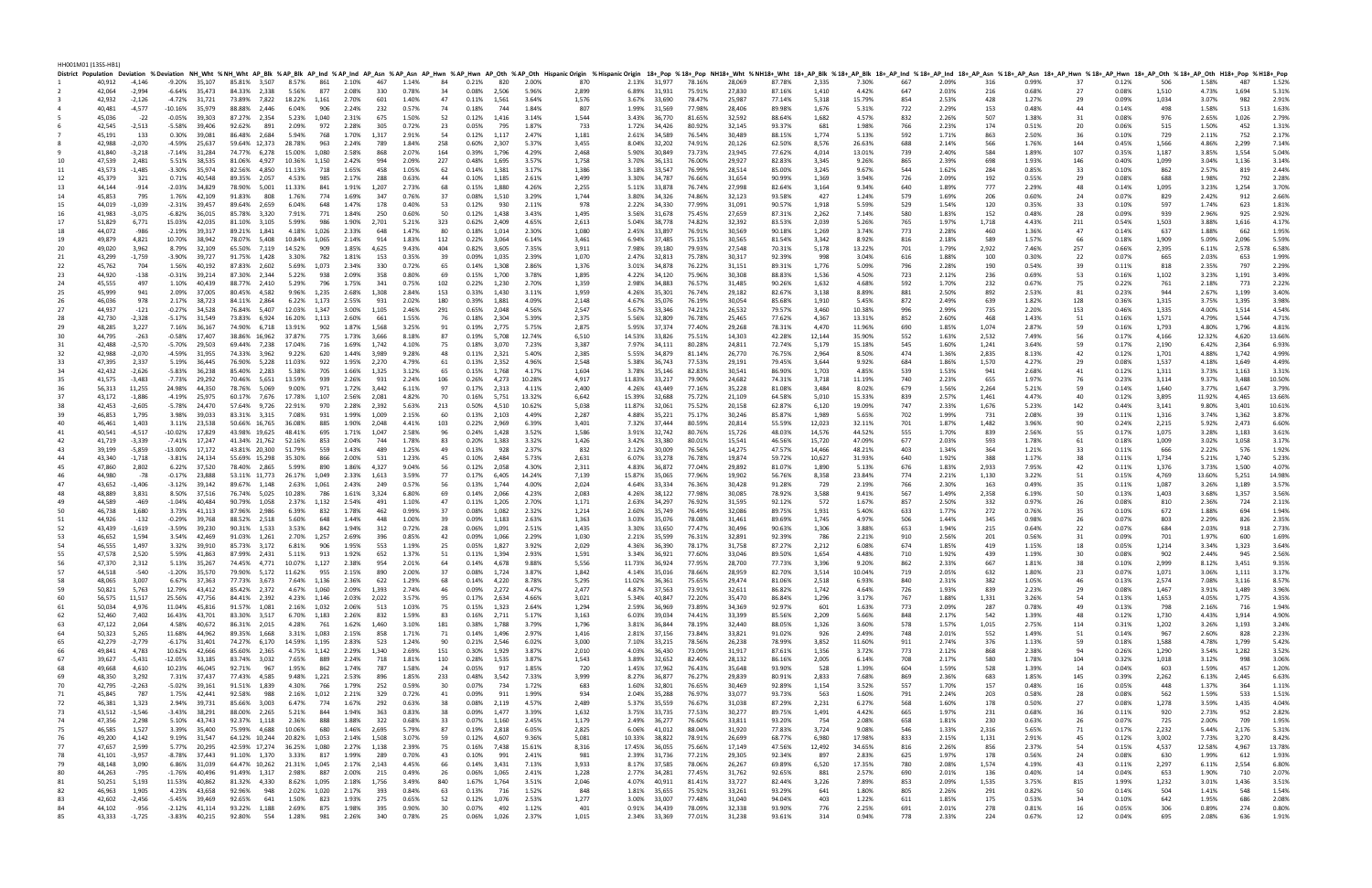HH001M01 (13SS-HB1)

|          |                  |                    |                   |                                      |              |              |                                                  |       |                                                                            |            |                |          |                      |       |                | District Population Deviation %Deviation NH_Wht %NH_Wht AP_Blk %AP_Blk AP_Blk AP_Ind %AP_Ind %P_Mn %AP_Asn %AP_Asn AP_Hwn %AP_Hwn AP_Oth HispanicOrigin %HispanicOrigin %HispanicOrigin 18+_Pop %18+_AP_Blk %18+_AP_Blk %8+_AP |               |                              |                  |                  |                  |                |                 |            |                |              |                |            |                |              |                |              |                |
|----------|------------------|--------------------|-------------------|--------------------------------------|--------------|--------------|--------------------------------------------------|-------|----------------------------------------------------------------------------|------------|----------------|----------|----------------------|-------|----------------|--------------------------------------------------------------------------------------------------------------------------------------------------------------------------------------------------------------------------------|---------------|------------------------------|------------------|------------------|------------------|----------------|-----------------|------------|----------------|--------------|----------------|------------|----------------|--------------|----------------|--------------|----------------|
|          | 40,912           | -4,146             |                   | -9.20% 35,107                        |              |              |                                                  |       | 85.81% 3,507 8.57% 861 2.10% 467                                           |            | 1.14%          | 84       | 0.21% 820            |       | 2.00%          | 870                                                                                                                                                                                                                            |               | 2.13% 31,977 78.16%          |                  | 28,069           | 87.78%           | 2,335          | 7.30%           | 667        | 2.09%          | 316          | 0.99%          | 37         | 0.12%          | 506          | 1.58%          | 487          | 1.52%          |
|          | 42,064           | $-2,994$           |                   | $-6.64\%$ 35,473<br>$-4.72\%$ 31.721 |              |              | 73.89% 7.822 18.22% 1.161                        |       | 84.33% 2,338 5.56% 877 2.08% 330                                           |            | 0.78%          | 34       | 0.08% 2.506          |       | 5.96%          | 2,899                                                                                                                                                                                                                          |               | 6.89% 31.931                 | 75.91%           | 27,830           | 87.16%           | 1,410          | 4.42%           | 647        | 2.03%          | 216          | 0.68%          | 27         | 0.08%          | 1,510        | 4.73%          | 1,694        | 5.31%          |
|          | 42,932<br>40,481 | $-2,126$<br>-4,577 | -10.16%           | 35,979                               |              |              | 88.88% 2,446 6.04%                               | 906   | 2.70%<br>2.24%                                                             | 601<br>232 | 1.40%<br>0.57% | 47<br>74 | 0.11% 1,561<br>0.18% | 744   | 3.64%<br>1.84% | 1,576<br>807                                                                                                                                                                                                                   |               | 3.67% 33,690<br>1.99% 31,569 | 78.47%<br>77.98% | 25,987<br>28,406 | 77.14%<br>89.98% | 5,318<br>1,676 | 15.79%<br>5.31% | 854<br>722 | 2.53%<br>2.29% | 428<br>153   | 1.27%<br>0.48% | 29<br>44   | 0.09%<br>0.14% | 1,034        | 3.07%<br>1.58% | 982<br>513   | 2.91%<br>1.63% |
|          | 45,036           | $-22$              | $-0.05\%$ 39,303  |                                      |              |              | 87.27% 2,354 5.23% 1,040                         |       | 2.31%                                                                      | 675        | 1.50%          | 52       | 0.12%                | 1,416 | 3.14%          | 1,544                                                                                                                                                                                                                          |               | 3.43% 36,770                 | 81.65%           | 32,592           | 88.64%           | 1,682          | 4.57%           | 832        | 2.26%          | 507          | 1.38%          | 31         | 0.08%          | 976          | 2.65%          | 1,026        | 2.79%          |
|          | 42,545           | $-2,513$           | $-5.58\%$ 39,406  |                                      |              |              | 92.62% 891 2.09% 972 2.28%                       |       |                                                                            | 305        | 0.72%          |          | 0.05%                | 795   | 1.87%          | 733                                                                                                                                                                                                                            |               | 1.72% 34,426                 | 80.92%           | 32,145           | 93.37%           |                | 1.98%           | 766        | 2.23%          | 174          | 0.51%          | 20         | 0.06%          | 515          | 1.50%          | 452          | 1.31%          |
|          | 45,191           | 133                | 0.30%             | 39,081                               |              |              | 86.48% 2,684 5.94% 768                           |       | 1.70%                                                                      | 1,317      | 2.91%          | 23<br>54 | 0.12%                | 1,117 | 2.47%          | 1,181                                                                                                                                                                                                                          |               | 2.61% 34,589                 | 76.54%           | 30,489           | 88.15%           | 681<br>1,774   | 5.13%           | 592        | 1.71%          | 863          | 2.50%          | 36         | 0.10%          | 729          | 2.11%          | 752          | 2.17%          |
|          | 42,988           | -2,070             | -4.59%            | 25,637                               |              |              | 59.64% 12,373 28.78%                             | 963   | 2.24%                                                                      | 789        | 1.84%          | 258      | 0.60%                | 2,307 |                | 3,455                                                                                                                                                                                                                          |               |                              |                  |                  |                  | 8,576          | 26.63%          | 688        |                |              | 1.76%          |            | 0.45%          | 1,566        | 4.86%          | 2,299        | 7.14%          |
|          | 41,840           | -3,218             | $-7.14\%$ 31,284  |                                      |              |              | 74.77% 6,278 15.00% 1,080                        |       | 2.58%                                                                      | 868        | 2.07%          | 164      | 0.39%                | 1,796 | 5.37%<br>4.29% | 2,468                                                                                                                                                                                                                          |               | 8.04% 32,202<br>5.90% 30,849 | 74.91%<br>73.73% | 20,126<br>23,945 | 62.50%           | 4,014          | 13.01%          | 739        | 2.14%<br>2.40% | 566<br>584   | 1.89%          | 144<br>107 | 0.35%          | 1,187        | 3.85%          | 1,554        | 5.04%          |
|          |                  |                    |                   |                                      |              |              |                                                  |       |                                                                            |            |                |          |                      |       | 3.57%          |                                                                                                                                                                                                                                |               |                              |                  |                  | 77.62%           |                |                 |            |                |              |                |            |                |              |                | 1.136        |                |
|          | 47,539           | 2,481              |                   | 5.51% 38,535                         |              |              | 81.06% 4,927 10.36% 1,150 2.42%                  |       |                                                                            | 994        | 2.09%          | 227      | 0.48%                | 1,695 |                | 1,758                                                                                                                                                                                                                          |               | 3.70% 36,131                 | 76.00%           | 29,927           | 82.83%           | 3,345          | 9.26%           | 865        | 2.39%          | 698          | 1.93%          | 146        | 0.40%          | 1,099        | 3.04%          |              | 3.14%          |
| 11       | 43,573           | $-1,485$           | $-3.30\%$ 35,974  |                                      |              |              | 82.56% 4,850 11.13% 718                          |       | 1.65%                                                                      | 458        | 1.05%          | 62       | 0.14%                | 1,381 | 3.17%          | 1,386                                                                                                                                                                                                                          |               | 3.18% 33,547                 | 76.99%           | 28,514           | 85.00%           | 3,245          | 9.67%           | 544        | 1.62%          | 284          | 0.85%          | 33         | 0.10%          | 862          | 2.57%          | 819          | 2.44%          |
| -12      | 45,379           | 321                | 0.71% 40,548      |                                      |              |              | 89.35% 2,057 4.53%                               | 985   | 2.17%                                                                      | 288        | 0.63%          | 44       | $0.10\%$             | 1,185 | 2.61%          | 1,499                                                                                                                                                                                                                          |               | 3.30% 34,787                 | 76.66%           | 31,654           | 90.99%           | 1,369          | 3.94%           | 726        | 2.09%          | 192          | 0.55%          | 29         | 0.08%          | 688          | 1.98%          | 792          | 2.28%          |
| 13       | 44,144           | $-914$             | $-2.03\%$ 34,829  |                                      |              |              | 78.90% 5,001 11.33%                              | 841   | 1.91%                                                                      | 1,207      | 2.73%          | 68       | 0.15%                | 1,880 | 4.26%          | 2,255                                                                                                                                                                                                                          |               | 5.11% 33,878                 | 76.74%           | 27,998           | 82.64%           | 3,164          | 9.34%           | 640        | 1.89%          | 777          | 2.29%          | 48         | 0.14%          | 1,095        | 3.23%          | 1.254        | 3.70%          |
| 14       | 45,853           | 795                |                   | 1.76% 42.109                         | 91.83%       |              | 808 1.76%                                        | 774   | 1.69%                                                                      | 347        | 0.76%          | 37       | 0.08%                | 1,510 | 3.29%          | 1,744                                                                                                                                                                                                                          |               | 3.80% 34,326                 | 74.86%           | 32,123           | 93.58%           | 427            | 1.24%           | 579        | 1.69%          | 206          | 0.60%          | 24         | 0.07%          | 829          | 2.42%          | 912          | 2.66%          |
| 15       | 44,019           | $-1,039$           | $-2.31\%$ 39,457  |                                      |              |              | 89.64% 2,659 6.04%                               | 648   | 1.47%                                                                      | 178        | 0.40%          | 53       | 0.12%                | 930   | 2.11%          | 978                                                                                                                                                                                                                            |               | 2.22% 34,330                 | 77.99%           | 31,091           | 90.57%           | 1,918          | 5.59%           | 529        | 1.54%          | 120          | 0.35%          | 33         | 0.10%          | 597          | 1.74%          | 623          | 1.81%          |
| 16       | 41,983           | $-3,075$           | -6.82%            | 36,015                               |              |              | 85.78% 3,320 7.91%                               | 771   | 1.84%                                                                      | 250        | 0.60%          | 50       | 0.12% 1,438          |       | 3.43%          | 1,495                                                                                                                                                                                                                          |               | 3.56% 31,678                 | 75.45%           | 27,659           | 87.31%           | 2,262          | 7.14%           | 580        | 1.83%          | 152          | 0.48%          | 28         | 0.09%          | 939          | 2.96%          | 925          | 2.92%          |
| 17       | 51,829           | 6,771              | 15.03%            | 42,035                               |              |              | 81.10% 3,105 5.99%                               | 986   | 1.90% 2,701                                                                |            | 5.21%          | 323      | 0.62%                | 2,409 | 4.65%          | 2,613                                                                                                                                                                                                                          |               | 5.04% 38,778                 | 74.82%           | 32,392           | 83.53%           | 2,039          | 5.26%           | 765        | 1.97%          | 1,718        | 4.43%          | 211        | 0.54%          | 1,503        | 3.88%          | 1,616        | 4.17%          |
| 18       | 44,072           | -986               | $-2.19%$          | 39,317                               |              |              | 89.21% 1.841 4.18% 1.026                         |       | 2.33%                                                                      | 648        | 1.47%          | 80       | 0.18%                | 1,014 | 2.30%          | 1,080                                                                                                                                                                                                                          |               | 2.45% 33.897                 | 76.91%           | 30,569           | 90.18%           | 1,269          | 3.74%           | 773        | 2.28%          | 460          | 1.36%          | 47         | 0.14%          | 637          | 1.88%          | 662          | 1.95%          |
| 19       | 49,879           | 4,821              | 10.70%            | 38,942                               |              |              | 78.07% 5,408 10.84% 1,065                        |       | 2.14% 914                                                                  |            | 1.83%          | 112      | 0.22%                | 3,064 | 6.14%          | 3,461                                                                                                                                                                                                                          |               | 6.94% 37,485                 | 75.15%           | 30,565           | 81.54%           | 3,342          | 8.92%           | 816        | 2.18%          | 589          | 1.57%          | 66         | 0.18%          | 1,909        | 5.09%          | 2,096        | 5.59%          |
| 20       | 49,020           | 3,962              |                   | 8.79% 32,109                         |              |              | 65.50% 7,119 14.52% 909                          |       | 1.85% 4,625                                                                |            | 9.43%          | 404      | 0.82% 3,605          |       | 7.35%          | 3,911                                                                                                                                                                                                                          |               | 7.98% 39,180                 | 79.93%           | 27,548           | 70.31%           | 5,178          | 13.22%          | 701        | 1.79%          | 2,922        | 7.46%          | 257        | 0.66%          | 2,395        | 6.11%          | 2,578        | 6.58%          |
| 21       | 43,299           | $-1,759$           | -3.90%            | 39,727                               |              |              | 91.75% 1,428 3.30%                               | 782   | 1.81%                                                                      | 153        | 0.35%          | 39       | 0.09%                | 1,035 | 2.39%          | 1,070                                                                                                                                                                                                                          |               | 2.47% 32,813                 | 75.78%           | 30,317           | 92.39%           | 998            | 3.04%           | 616        | 1.88%          | 100          | 0.30%          | 22         | 0.07%          | 665          | 2.03%          | 653          | 1.99%          |
| 22       | 45,762           | 704                | 1.56%             | 40,192                               |              |              | 87.83% 2,602 5.69% 1,073                         |       | 2.34%                                                                      | 330        | 0.72%          | 65       | 0.14%                | 1,308 | 2.86%          | 1,376                                                                                                                                                                                                                          |               | 3.01% 34,878                 | 76.22%           | 31,151           | 89.31%           | 1,776          | 5.09%           | 796        | 2.28%          | 190          | 0.54%          | 39         | 0.11%          | 818          | 2.35%          | 797          | 2.29%          |
| 23       | 44,920           | $-138$             | $-0.31\%$ 39,214  |                                      |              |              | 87.30% 2,344 5.22%                               | 938   | 2.09%                                                                      | 358        | 0.80%          | 69       | 0.15% 1,700          |       | 3.78%          | 1,895                                                                                                                                                                                                                          |               | 4.22% 34,120                 | 75.96%           | 30,308           | 88.83%           | 1,536          | 4.50%           | 723        | 2.12%          | 236          | 0.69%          | 53         | 0.16%          | 1,102        | 3.23%          | 1,191        | 3.49%          |
| 24       | 45,555           | 497                | 1.10%             | 40,439                               |              |              | 88.77% 2,410 5.29%                               | 796   | 1.75%                                                                      | 341        | 0.75%          | 102      | 0.22%                | 1,230 | 2.70%          | 1,359                                                                                                                                                                                                                          |               | 2.98% 34,883                 | 76.57%           | 31,485           | 90.26%           | 1,632          | 4.68%           | 592        | 1.70%          | 232          | 0.67%          | 75         | 0.22%          | 761          | 2.18%          | 773          | 2.22%          |
| 25       | 45,999           | 941                | 2.09%             | 37,005                               |              |              | 80.45% 4,582 9.96% 1,235                         |       | 2.68% 1.308                                                                |            | 2.84%          | 153      | 0.33%                | 1,430 | 3.11%          | 1,959                                                                                                                                                                                                                          |               | 4.26% 35,301                 | 76.74%           | 29,182           | 82.67%           | 3,138          | 8.89%           | 881        | 2.50%          | 892          | 2.53%          | 81         | 0.23%          | 944          | 2.67%          | 1,199        | 3.40%          |
| 26       | 46,036           | 978                | 2.17% 38,723      |                                      |              |              |                                                  |       | 84.11% 2,864 6.22% 1,173 2.55% 931                                         |            | 2.02%          | 180      | 0.39% 1,881          |       | 4.09%          | 2,148                                                                                                                                                                                                                          |               | 4.67% 35,076                 | 76.19%           | 30,054           | 85.68%           | 1,910          | 5.45%           | 872        | 2.49%          | 639          | 1.82%          | 128        | 0.36%          | 1,315        | 3.75%          | 1,395        | 3.98%          |
| 27       | 44,937           | $-121$             | $-0.27%$ 34,528   |                                      |              |              |                                                  |       | 76.84% 5,407 12.03% 1,347 3.00% 1,105                                      |            | 2.46%          | 291      | 0.65%                | 2,048 | 4.56%          | 2,547                                                                                                                                                                                                                          |               | 5.67% 33,346                 | 74.21%           | 26,532           | 79.57%           | 3,460          | 10.38%          | 996        | 2.99%          | 735          | 2.20%          | 153        | 0.46%          | 1,335        | 4.00%          | 1,514        | 4.54%          |
| 28       | 42,730           | $-2,328$           | -5.17% 31,549     |                                      |              |              | 73.83% 6,924 16.20% 1,113 2.60%                  |       |                                                                            | 661        | 1.55%          | 76       | 0.18%                | 2,304 | 5.39%          | 2,375                                                                                                                                                                                                                          |               | 5.56% 32,809                 | 76.78%           | 25,465           | 77.62%           | 4,367          | 13.31%          | 852        | 2.60%          | 468          | 1.43%          | 51         | 0.16%          | 1,571        | 4.79%          | 1,544        | 4.71%          |
| 29       | 48,285           | 3,227              | 7.16% 36,167      |                                      |              |              | 74.90% 6,718 13.91% 902                          |       | 1.87% 1,568                                                                |            | 3.25%          | 91       | 0.19% 2,775          |       | 5.75%          | 2,875                                                                                                                                                                                                                          |               | 5.95% 37,374                 | 77.40%           | 29,268           | 78.31%           | 4,470          | 11.96%          | 690        | 1.85%          | 1,074        | 2.87%          | 59         | 0.16%          | 1,793        | 4.80%          | 1,796        | 4.81%          |
| 30       | 44,795           | $-263$             | $-0.58\%$ 17,407  |                                      |              |              |                                                  |       | 38.86% 16,962 37.87% 775 1.73% 3,666                                       |            | 8.18%          | 87       | 0.19% 5,708          |       | 12.74%         | 6,510                                                                                                                                                                                                                          |               | 14.53% 33,826                | 75.51%           | 14,303           | 42.28%           | 12,144         | 35.90%          | 552        | 1.63%          | 2,532        | 7.49%          | 56         | 0.17%          | 4,166        | 12.32%         | 4.620        | 13.66%         |
| 31       | 42,488           | $-2,570$           | $-5.70\%$ 29,503  |                                      |              |              | 69.44% 7,238 17.04% 716                          |       | 1.69% 1,742                                                                |            | 4.10%          | 75       | 0.18% 3,070          |       | 7.23%          | 3,387                                                                                                                                                                                                                          |               | 7.97% 34,111                 | 80.28%           | 24,811           | 72.74%           | 5,179          | 15.18%          | 545        | 1.60%          | 1,241        | 3.64%          | 59         | 0.17%          | 2,190        | 6.42%          | 2,364        | 6.93%          |
| -32      | 42,988           | $-2,070$           | $-4.59\%$ 31,955  |                                      |              |              | 74.33% 3,962 9.22%                               | 620   | 1.44% 3,989                                                                |            | 9.28%          | 48       | $0.11\%$             | 2,321 | 5.40%          | 2,385                                                                                                                                                                                                                          |               | 5.55% 34,879                 | 81.14%           | 26,770           | 76.75%           | 2,964          | 8.50%           | 474        | 1.36%          | 2,835        | 8.13%          | 42         | 0.12%          | 1,701        | 4.88%          | 1,742        | 4.99%          |
| 33       | 47,395           | 2,337              |                   | 5.19% 36,445                         |              |              | 76.90% 5,228 11.03%                              | 922   | 1.95% 2,270                                                                |            | 4.79%          | 61       | $0.13\%$ 2,352       |       | 4.96%          | 2,548                                                                                                                                                                                                                          |               | 5.38% 36,743                 | 77.53%           | 29,191           | 79.45%           | 3,644          | 9.92%           | 684        | 1.86%          | 1,570        | 4.27%          | 29         | 0.08%          | 1,537        | 4.18%          | 1,649        | 4.49%          |
| 34       | 42,432           | $-2,626$           | -5.83%            | 36,238                               |              |              | 85.40% 2.283 5.38%                               | 705   | 1.66% 1,325                                                                |            | 3.12%          | 65       | 0.15%                | 1,768 | 4.17%          | 1,604                                                                                                                                                                                                                          |               | 3.78% 35,146                 | 82.83%           | 30,541           | 86.90%           | 1,703          | 4.85%           | 539        | 1.53%          | 941          | 2.68%          | 41         | 0.12%          | 1,311        | 3.73%          | 1,163        | 3.31%          |
| 35       | 41,575           | $-3,483$           | $-7.73\%$ 29.292  |                                      |              |              | 70.46% 5,651 13.59% 939                          |       | 2.26% 931                                                                  |            | 2.24%          | 106      | 0.26% 4,273          |       | 10.28%         | 4,917                                                                                                                                                                                                                          | 11.83% 33,217 |                              | 79.90%           | 24,682           | 74.31%           | 3,718          | 11.19%          | 740        | 2.23%          | 655          | 1.97%          | 76         | 0.23%          | 3,114        | 9.37%          | 3.488        | 10.50%         |
| 36       | 56,313           | 11,255             | 24.98% 44,350     |                                      |              |              | 78.76% 5,069 9.00% 971                           |       | 1.72% 3,442                                                                |            | 6.11%          | 97       | 0.17% 2,313          |       | 4.11%          | 2,400                                                                                                                                                                                                                          |               | 4.26% 43,449                 | 77.16%           | 35,228           | 81.08%           | 3,484          | 8.02%           | 679        | 1.56%          | 2,264        | 5.21%          | 59         | 0.14%          | 1,640        | 3.77%          | 1,647        | 3.79%          |
| 37       | 43,172           | -1,886             | $-4.19\%$ 25,975  |                                      |              |              | 60.17% 7,676 17.78% 1,107                        |       | 2.56% 2,081                                                                |            | 4.82%          | 70       | 0.16%                | 5,751 | 13.32%         | 6,642                                                                                                                                                                                                                          |               | 15.39% 32,688                | 75.72%           | 21,109           | 64.58%           | 5,010          | 15.33%          | 839        | 2.57%          | 1,461        | 4.47%          | 40         | 0.12%          | 3,895        | 11.92%         | 4,465        | 13.66%         |
| 38       | 42,453           | -2,605             | -5.78% 24,470     |                                      |              |              | 57.64% 9,726 22.91% 970                          |       | 2.28% 2,392                                                                |            | 5.63%          | 213      | 0.50%                | 4,510 | 10.62%         | 5,038                                                                                                                                                                                                                          |               | 11.87% 32,061                | 75.52%           | 20,158           | 62.87%           | 6,120          | 19.09%          | 747        | 2.33%          | 1,676        | 5.23%          | 142        | 0.44%          | 3,141        | 9.80%          | 3,401        | 10.61%         |
| 39       | 46,853           | 1,795              | 3.98%             | 39,033                               |              |              | 83.31% 3,315 7.08% 931                           |       | 1.99% 1,009                                                                |            | 2.15%          | 60       | $0.13\%$ 2,103       |       | 4.49%          | 2,287                                                                                                                                                                                                                          |               | 4.88% 35,221                 | 75.17%           | 30,246           | 85.87%           | 1,989          | 5.65%           | 702        | 1.99%          | 731          | 2.08%          | 39         | 0.11%          | 1,316        | 3.74%          | 1,362        | 3.87%          |
|          | 46,461           | 1,403              | 3.11% 23,538      |                                      |              |              | 50.66% 16,765 36.08%                             |       | 885 1.90% 2,048                                                            |            | 4.41%          | 103      | 0.22% 2,969          |       | 6.39%          | 3,401                                                                                                                                                                                                                          |               | 7.32% 37,444                 |                  | 20,814           | 55.59%           | 12,023         | 32.11%          | 701        | 1.87%          | 1,482        | 3.96%          | 90         | 0.24%          | 2,215        | 5.92%          | 2,473        | 6.60%          |
|          |                  |                    |                   |                                      |              |              |                                                  |       |                                                                            |            |                |          |                      |       |                |                                                                                                                                                                                                                                |               |                              | 80.59%           |                  |                  |                |                 |            |                |              |                |            |                |              |                |              |                |
| 41       | 40,541           | $-4,517$           | -10.02%           | 17,829                               |              |              | 43.98% 19,625 48.41%                             | 695   | 1.71% 1,047                                                                |            | 2.58%          | 96       | 0.24%                | 1,428 | 3.52%          | 1,586                                                                                                                                                                                                                          |               | 3.91% 32,742                 | 80.76%           | 15,726           | 48.03%           | 14,576         | 44.52%          | 555        | 1.70%          | 839          | 2.56%          | 55         | 0.17%          | 1,075        | 3.28%          | 1,183        | 3.61%          |
| 42       | 41,719           | $-3,339$           | -7.41% 17,247     |                                      |              |              | 41.34% 21,762 52.16%                             | 853   | 2.04% 744                                                                  |            | 1.78%          | 83       | 0.20%                | 1,383 | 3.32%          | 1,426                                                                                                                                                                                                                          |               | 3.42% 33,380                 | 80.01%           | 15,541           | 46.56%           | 15,720         | 47.09%          | 677        | 2.03%          | 593          | 1.78%          | 61         | 0.18%          | 1,009        | 3.02%          | 1,058        | 3.17%          |
| 43       | 39,199           | -5,859             | -13.00% 17,172    |                                      |              |              | 43.81% 20,300 51.79%                             | 559   | 1.43%                                                                      | 489        | 1.25%          | 49       | 0.13%                | 928   | 2.37%          | 832                                                                                                                                                                                                                            |               | 2.12% 30,009                 | 76.56%           | 14,275           | 47.57%           | 14,466         | 48.21%          | 403        | 1.34%          | 364          | 1.21%          | 33         | 0.11%          | 666          | 2.22%          | 576          | 1.92%          |
|          | 43,340           | -1,718             | $-3.81\%$ 24,134  |                                      |              |              | 55.69% 15,298 35.30% 866                         |       | 2.00%                                                                      | 531        | 1.23%          | 45       | $0.10\%$             | 2,484 | 5.73%          | 2,631                                                                                                                                                                                                                          |               | 6.07% 33,278                 | 76.78%           | 19,874           | 59.72%           | 10,627         | 31.93%          | 640        | 1.92%          | 388          | 1.17%          | 38         | 0.11%          | 1,734        | 5.21%          | 1,740        | 5.23%          |
| 45       | 47,860           | 2,802              | 6.22% 37,520      |                                      |              |              | 78.40% 2,865 5.99%                               | 890   | 1.86% 4,327                                                                |            | 9.04%          | 56       | 0.12%                | 2,058 | 4.30%          | 2,311                                                                                                                                                                                                                          |               | 4.83% 36,872                 | 77.04%           | 29,892           | 81.07%           | 1,890          | 5.13%           | 676        | 1.83%          | 2,933        | 7.95%          | 42         | 0.11%          | 1,376        | 3.73%          | 1,500        | 4.07%          |
|          | 44,980           | -78                | $-0.17\%$ 23,888  |                                      |              |              | 53.11% 11,773 26.17% 1,049                       |       | 2.33% 1,613                                                                |            | 3.59%          | 77       | 0.17% 6,405          |       | 14.24%         | 7,139                                                                                                                                                                                                                          |               | 15.87% 35,065                | 77.96%           | 19,902           | 56.76%           | 8,358          | 23.84%          | 774        | 2.21%          | 1,130        | 3.22%          | 51         | 0.15%          | 4,769        | 13.60%         | 5,251        | 14.98%         |
| 47       | 43,652           | -1,406             | $-3.12\%$ 39,142  |                                      |              |              | 89.67% 1,148 2.63% 1,061                         |       | 2.43%                                                                      | 249        | 0.57%          | 56       | 0.13% 1,744          |       | 4.00%          | 2,024                                                                                                                                                                                                                          |               | 4.64% 33,334                 | 76.36%           | 30,428           | 91.28%           | 729            | 2.19%           | 766        | 2.30%          | 163          | 0.49%          | 35         | 0.11%          | 1,087        | 3.26%          | 1,189        | 3.57%          |
|          | 48,889           | 3,831              | 8.50%             | 37,516                               |              |              | 76.74% 5,025 10.28%                              | 786   | 1.61% 3,324                                                                |            | 6.80%          | 69       | 0.14%                | 2,066 | 4.23%          | 2,083                                                                                                                                                                                                                          |               | 4.26% 38,122                 | 77.98%           | 30,085           | 78.92%           | 3,588          | 9.41%           | 567        | 1.49%          | 2,358        | 6.19%          | 50         | 0.13%          | 1,403        | 3.68%          | 1,357        | 3.56%          |
|          | 44,589           | -469               | $-1.04\%$ 40,484  |                                      |              |              | 90.79% 1,058 2.37% 1,132                         |       | 2.54%                                                                      | 491        | 1.10%          | 47       | 0.11% 1,205          |       | 2.70%          | 1,171                                                                                                                                                                                                                          |               | 2.63% 34,297                 | 76.92%           | 31,595           | 92.12%           | 572            | 1.67%           | 857        | 2.50%          | 332          | 0.97%          | 26         | 0.08%          | 810          | 2.36%          | 724          | 2.11%          |
| 50       | 46,738           | 1,680              | 3.73% 41,113      |                                      |              |              | 87.96% 2,986 6.39%                               | 832   | 1.78%                                                                      | 462        | 0.99%          | 37       | $0.08\%$             | 1,082 | 2.32%          | 1,214                                                                                                                                                                                                                          |               | 2.60% 35,749                 | 76.49%           | 32,086           | 89.75%           | 1,931          | 5.40%           | 633        | 1.77%          | 272          | 0.76%          | 35         | 0.10%          | 672          | 1.88%          | 694          | 1.94%          |
| 51       | 44,926           | $-132$             | $-0.29\%$ 39,768  |                                      |              |              | 88.52% 2,518 5.60%                               | 648   | 1.44%                                                                      | 448        | 1.00%          | 39       | 0.09%                | 1,183 | 2.63%          | 1,363                                                                                                                                                                                                                          |               | 3.03% 35,076                 | 78.08%           | 31,461           | 89.69%           | 1,745          | 4.97%           | 506        | 1.44%          | 345          | 0.98%          | 26         | 0.07%          | 803          | 2.29%          | 826          | 2.35%          |
| -52      | 43,439           | -1,619             | $-3.59\%$ 39,230  |                                      |              |              | 90.31% 1,533 3.53%                               | 842   | 1.94%                                                                      | 312        | 0.72%          | 28       | 0.06%                | 1,091 | 2.51%          | 1,435                                                                                                                                                                                                                          |               | 3.30% 33,650                 | 77.47%           | 30,496           | 90.63%           | 1,306          | 3.88%           | 653        | 1.94%          | 215          | 0.64%          | 22         | 0.07%          | 684          | 2.03%          | 918          | 2.73%          |
| 53       | 46,652           | 1,594              |                   | 3.54% 42,469                         |              |              | 91.03% 1,261 2.70% 1,257                         |       | 2.69%                                                                      | 396        | 0.85%          | 42       | 0.09%                | 1,066 | 2.29%          | 1,030                                                                                                                                                                                                                          |               | 2.21% 35,599                 | 76.31%           | 32,891           | 92.39%           | 786            | 2.21%           | 910        | 2.56%          | 201          | 0.56%          | 31         | 0.09%          | 701          | 1.97%          | 600          | 1.69%          |
| 54       | 46,555           | 1,497              |                   | 3.32% 39,910                         |              |              | 85.73% 3,172 6.81%                               | 906   | 1.95%                                                                      | 553        | 1.19%          | 25       | 0.05%                | 1,827 | 3.92%          | 2,029                                                                                                                                                                                                                          |               | 4.36% 36,390                 | 78.17%           | 31,758           | 87.27%           | 2,212          | 6.08%           | 674        | 1.85%          | 419          | 1.15%          | 18         | 0.05%          | 1,214        | 3.34%          | 1,323        | 3.64%          |
| 55       | 47,578           | 2,520              | 5.59%             | 41,863                               |              |              | 87.99% 2,431 5.11% 913                           |       | 1.92%                                                                      | 652        | 1.37%          | 51       | 0.11%                | 1,394 | 2.93%          | 1,591                                                                                                                                                                                                                          |               | 3.34% 36,921                 | 77.60%           | 33,046           | 89.50%           | 1,654          | 4.48%           | 710        | 1.92%          | 439          | 1.19%          | 30         | 0.08%          | 902          | 2.44%          | 945          | 2.56%          |
| 56       | 47,370           | 2,312              |                   | 5.13% 35,267                         |              |              |                                                  |       | 74.45% 4,771 10.07% 1,127 2.38% 954 2.01%                                  |            |                | 64       | 0.14% 4,678 9.88%    |       |                | 5,556                                                                                                                                                                                                                          |               | 11.73% 36,924 77.95%         |                  | 28,700           | 77.73%           | 3,396          | 9.20%           | 862        | 2.33%          | 667          | 1.81%          | 38         | 0.10%          | 2,999        | 8.12%          | 3,451        | 9.35%          |
| 57       | 44,518           | -540               |                   |                                      |              |              |                                                  |       | -1.20% 35,570 79.90% 5,172 11.62% 955 2.15% 890 2.00% 37 0.08% 1,724 3.87% |            |                |          |                      |       |                | 1,842                                                                                                                                                                                                                          |               | 4.14% 35,016 78.66%          |                  | 28,959           | 82.70%           | 3,514          | 10.04%          | 719        | 2.05%          | 632          | 1.80%          | 23         | 0.07%          | 1,071        | 3.06%          | 1,111        | 3.17%          |
| 58       | 48,065           | 3,007              |                   | 6.67% 37,363                         |              |              | 77.73% 3,673 7.64% 1,136 2.36%                   |       |                                                                            | 622        | 1.29%          | 68       | 0.14% 4.220          |       | 8.78%          | 5,295                                                                                                                                                                                                                          |               | 11.02% 36,361                | 75.65%           | 29,474           | 81.06%           | 2,518          | 6.93%           | 840        | 2.31%          | 382          | 1.05%          | 46         | 0.13%          | 2,574        | 7.08%          | 3,116        | 8.57%          |
| 59       | 50,821           | 5,763              | 12.79% 43,412     |                                      |              |              | 85.42% 2,372 4.67% 1,060                         |       | 2.09%                                                                      | 1,393      | 2.74%          | 46       | 0.09% 2,272          |       | 4.47%          | 2,477                                                                                                                                                                                                                          |               | 4.87% 37,563                 | 73.91%           | 32,611           | 86.82%           | 1,742          | 4.64%           | 726        | 1.93%          | 839          | 2.23%          | 29         | 0.08%          | 1,467        | 3.91%          | 1,489        | 3.96%          |
| 60       | 56,575           | 11,517             | 25.56% 47,756     |                                      |              |              | 84.41% 2,392 4.23% 1,146                         |       | 2.03%                                                                      | 2,022      | 3.57%          | 95       | 0.17% 2,634          |       | 4.66%          | 3,021                                                                                                                                                                                                                          |               | 5.34% 40,847                 | 72.20%           | 35,470           | 86.84%           | 1,296          | 3.17%           | 767        | 1.88%          | 1,331        | 3.26%          | 54         | 0.13%          | 1,653        | 4.05%          | 1,775        | 4.35%          |
| 61       | 50,034           | 4,976              | 11.04% 45,816     |                                      | 91.57% 1,081 |              | 2.16% 1,032                                      |       | 2.06%                                                                      | 513        | 1.03%          | 75       | 0.15% 1,323          |       | 2.64%          | 1,294                                                                                                                                                                                                                          |               | 2.59% 36,969                 | 73.89%           | 34,369           | 92.97%           | 601            | 1.63%           | 773        | 2.09%          | 287          | 0.78%          | 49         | 0.13%          | 798          | 2.16%          | 716          | 1.94%          |
| 62       | 52,460           | 7,402              | 16.43% 43,701     |                                      |              | 83.30% 3,517 | 6.70% 1,183                                      |       | 2.26%                                                                      | 832        | 1.59%          | 83       | 0.16% 2,711          |       | 5.17%          | 3,163                                                                                                                                                                                                                          |               | 6.03% 39,034                 | 74.41%           | 33,399           | 85.56%           | 2,209          | 5.66%           | 848        | 2.17%          | 542          | 1.39%          | 48         | 0.12%          | 1,730        | 4.43%          | 1,914        | 4.90%          |
| 63       | 47,122           | 2,064              |                   | 4.58% 40.672                         |              | 86.31% 2,015 | 4.28%                                            | 761   | 1.62%                                                                      | 1,460      | 3.10%          | 181      | 0.38% 1.788          |       | 3.79%          | 1,796                                                                                                                                                                                                                          |               | 3.81% 36,844                 | 78.19%           | 32,440           | 88.05%           | 1,326          | 3.60%           | 578        | 1.57%          | 1,015        | 2.75%          | 114        | 0.31%          | 1,202        | 3.26%          | 1,193        | 3.24%          |
| 64       | 50,323           | 5,265              | 11.68% 44,962     |                                      |              | 89.35% 1,668 | 3.31% 1,083                                      |       | 2.15%                                                                      | 858        | 1.71%          | 71       | 0.14% 1,496          |       | 2.97%          | 1,416                                                                                                                                                                                                                          |               | 2.81% 37,156                 | 73.84%           | 33,821           | 91.02%           | 926            | 2.49%           | 748        | 2.01%          | 552          | 1.49%          | 51         | 0.14%          | 967          | 2.60%          | 828          | 2.23%          |
| 65       | 42,279           | $-2,779$           | $-6.17\%$ 31,401  |                                      |              |              | 74.27% 6,170 14.59% 1,195                        |       | 2.83%                                                                      | 523        | 1.24%          | 90       | 0.21% 2,546          |       | 6.02%          | 3,000                                                                                                                                                                                                                          |               | 7.10% 33,215                 | 78.56%           | 26,238           | 78.99%           | 3,852          | 11.60%          | 911        | 2.74%          | 376          | 1.13%          | 59         | 0.18%          | 1,588        | 4.78%          | 1,799        | 5.42%          |
| 66       | 49,841           | 4,783              | 10.62% 42,666     |                                      |              | 85.60% 2,365 | 4.75% 1,142                                      |       | 2.29%                                                                      | 1,340      | 2.69%          | 151      | 0.30% 1,929          |       | 3.87%          | 2,010                                                                                                                                                                                                                          |               | 4.03% 36,430                 | 73.09%           | 31,917           | 87.61%           | 1,356          | 3.72%           | 773        | 2.12%          | 868          | 2.38%          | 94         | 0.26%          | 1,290        | 3.54%          | 1,282        | 3.52%          |
| 67       | 39,627           | -5,431             | $-12.05\%$ 33,185 |                                      |              | 83.74% 3,032 | 7.65%                                            | 889   | 2.24%                                                                      | 718        | 1.81%          | 110      | 0.28%                | 1,535 | 3.87%          | 1,543                                                                                                                                                                                                                          |               | 3.89% 32,652                 | 82.40%           | 28,132           | 86.16%           | 2,005          | 6.14%           | 708        | 2.17%          | 580          | 1.78%          | 104        | 0.32%          | 1,018        | 3.12%          | 998          | 3.06%          |
| 68       | 49,668           | 4,610              | 10.23% 46,045     |                                      | 92.71%       | 967          | 1.95%                                            | 862   | 1.74%                                                                      | 787        | 1.58%          | 24       | 0.05%                | 917   | 1.85%          | 720                                                                                                                                                                                                                            |               | 1.45% 37,962                 | 76.43%           | 35,648           | 93.90%           | 528            | 1.39%           | 604        | 1.59%          | 528          | 1.39%          | 14         | 0.04%          | 603          | 1.59%          | 457          | 1.20%          |
| 69       | 48,350           | 3,292              | 7.31% 37,437      |                                      |              |              | 77.43% 4,585 9.48% 1,221                         |       | 2.53%                                                                      | 896        | 1.85%          | 233      | 0.48% 3,542          |       | 7.33%          | 3,999                                                                                                                                                                                                                          |               | 8.27% 36,877                 | 76.27%           | 29,839           | 80.91%           | 2,833          | 7.68%           | 869        | 2.36%          | 683          | 1.85%          | 145        | 0.39%          | 2,262        | 6.13%          | 2,445        | 6.63%          |
| 70       | 42,795           | $-2,263$           | $-5.02\%$ 39,161  |                                      |              |              | 91.51% 1,839 4.30%                               | 766   | 1.79%                                                                      | 252        | 0.59%          | 30       | 0.07%                | 734   | 1.72%          | 683                                                                                                                                                                                                                            |               | 1.60% 32,801                 | 76.65%           | 30,469           | 92.89%           | 1,154          | 3.52%           | 557        | 1.70%          | 157          | 0.48%          | 16         | 0.05%          | 448          | 1.37%          | 364          | 1.11%          |
| 71       | 45,845           | 787                | 1.75% 42,441      |                                      | 92.58%       | 988          | 2.16%                                            | 1,012 | 2.21%                                                                      | 329        | 0.72%          | 41       | 0.09%                | 911   | 1.99%          | 934                                                                                                                                                                                                                            |               | 2.04% 35,288                 | 76.97%           | 33,077           | 93.73%           | 563            | 1.60%           | 791        | 2.24%          | 203          | 0.58%          | 28         | 0.08%          | 562          | 1.59%          | 533          | 1.51%          |
| 72       | 46,381           | 1,323              | 2.94% 39,731      |                                      |              | 85.66% 3,003 | 6.47%                                            | 774   | 1.67%                                                                      | 292        | 0.63%          | 38       | 0.08%                | 2,119 | 4.57%          | 2,489                                                                                                                                                                                                                          |               | 5.37% 35,559                 | 76.67%           | 31,038           | 87.29%           | 2,231          | 6.27%           | 568        | 1.60%          | 178          | 0.50%          | 27         | 0.08%          | 1,278        | 3.59%          | 1,435        | 4.04%          |
| 73       | 43,512           | $-1,546$           | $-3.43\%$ 38,291  |                                      |              | 88.00% 2,265 | 5.21%                                            | 844   | 1.94%                                                                      | 363        | 0.83%          | 38       | 0.09% 1.477          |       | 3.39%          | 1,632                                                                                                                                                                                                                          |               | 3.75% 33,735                 | 77.53%           | 30,277           | 89.75%           | 1,491          | 4.42%           | 665        | 1.97%          | 231          | 0.68%          | 36         | 0.11%          | 920          | 2.73%          | 952          | 2.82%          |
| 74       | 47,356           | 2,298              |                   | 5.10% 43,743                         |              |              | 92.37% 1,118 2.36%                               | 888   | 1.88%                                                                      | 322        | 0.68%          | 33       | 0.07% 1,160          |       | 2.45%          | 1,179                                                                                                                                                                                                                          |               | 2.49% 36,277                 | 76.60%           | 33,811           | 93.20%           | 754            | 2.08%           | 658        | 1.81%          | 230          | 0.63%          | 26         | 0.07%          | 725          | 2.00%          | 709          | 1.95%          |
| 75       | 46,585           | 1,527              | 3.39% 35,400      |                                      |              |              | 75.99% 4,688 10.06%                              | 680   | 1.46%                                                                      | 2,695      | 5.79%          | 87       | 0.19% 2,818          |       | 6.05%          | 2,825                                                                                                                                                                                                                          |               | 6.06% 41,012                 | 88.04%           | 31,920           | 77.83%           | 3,724          | 9.08%           | 546        | 1.33%          | 2,316        | 5.65%          | 71         | 0.17%          | 2,232        | 5.44%          | 2,176        | 5.31%          |
| 76       | 49,200           | 4,142              | 9.19% 31,547      |                                      |              |              | 64.12% 10,244 20.82% 1,053                       |       | 2.14%                                                                      | 1,508      | 3.07%          | 59       | 0.12% 4,607          |       | 9.36%          |                                                                                                                                                                                                                                |               |                              | 78.91%           | 26,699           | 68.77%           | 6,980          | 17.98%          | 833        |                |              | 2.91%          | 45         | 0.12%          | 3,002        | 7.73%          | 3,270        | 8.42%          |
| 77       |                  | 2,599              |                   |                                      |              |              |                                                  |       |                                                                            | 1,138      | 2.39%          |          |                      |       | 15.61%         | 5,081                                                                                                                                                                                                                          |               | 10.33% 38,822                |                  |                  |                  |                |                 | 816        | 2.15%          | 1,131<br>856 | 2.37%          | 54         |                | 4,537        | 12.58%         | 4,967        | 13.78%         |
|          | 47,657           |                    |                   | 5.77% 20,295                         |              |              | 42.59% 17,274 36.25% 1,080                       |       | 2.27%                                                                      |            |                | 75       | 0.16% 7,438          |       |                | 8,316                                                                                                                                                                                                                          |               | 17.45% 36,055                | 75.66%           | 17,149           | 47.56%           | 12,492         | 34.65%          |            | 2.26%          |              |                |            | 0.15%          |              |                |              | 1.93%          |
| 78       | 41,101<br>48,148 | $-3,957$<br>3,090  | 6.86% 31,039      | -8.78% 37,443                        |              |              | 91.10% 1,370 3.33%<br>64.47% 10,262 21.31% 1,045 | 817   | 1.99%<br>2.17% 2,143                                                       | 289        | 0.70%<br>4.45% | 43<br>66 | 0.10%<br>0.14% 3,431 | 991   | 2.41%<br>7.13% | 981                                                                                                                                                                                                                            |               | 2.39% 31,736<br>8.17% 37,585 | 77.21%<br>78.06% | 29,305<br>26,267 | 92.34%<br>69.89% | 897            | 2.83%<br>17.35% | 625<br>780 | 1.97%<br>2.08% | 178<br>1,574 | 0.56%<br>4.19% | 24<br>43   | 0.08%          | 630<br>2,297 | 1.99%<br>6.11% | 612<br>2,554 | 6.80%          |
| 79<br>80 |                  | -795               |                   |                                      |              |              |                                                  | 887   |                                                                            |            | 0.49%          |          |                      |       | 2.41%          | 3,933                                                                                                                                                                                                                          |               |                              | 77.45%           |                  |                  | 6,520<br>881   | 2.57%           | 690        |                | 136          | 0.40%          |            | 0.11%          | 653          | 1.90%          | 710          | 2.07%          |
|          | 44,263           |                    | $-1.76\%$ 40,496  |                                      |              |              | 91.49% 1,317 2.98%                               |       | 2.00%                                                                      | 215        |                | 26       | 0.06% 1,065          |       |                | 1,228                                                                                                                                                                                                                          |               | 2.77% 34,281                 |                  | 31,762           | 92.65%           |                |                 |            | 2.01%          |              |                | 14         | 0.04%          |              |                |              |                |
| 81       | 50,251           | 5,193              | 11.53% 40,862     |                                      |              |              | 81.32% 4,330 8.62%                               | 1,095 | 2.18%                                                                      | 1,756      | 3.49%          | 840      | 1.67%                | 1,764 | 3.51%          | 2,046                                                                                                                                                                                                                          |               | 4.07% 40,911                 | 81.41%           | 33,727           | 82.44%           | 3,226          | 7.89%           | 853        | 2.09%          | 1,535        | 3.75%          | 815        | 1.99%          | 1,232        | 3.01%          | 1,436        | 3.51%          |
| 82       | 46,963           | 1,905              |                   | 4.23% 43,658                         | 92.96%       | 948          | 2.02%                                            | 1,020 | 2.17%                                                                      | 393        | 0.84%          | 63       | 0.13%                | 716   | 1.52%          | 848                                                                                                                                                                                                                            |               | 1.81% 35,655                 | 75.92%           | 33,261           | 93.29%           | 641            | 1.80%           | 805        | 2.26%          | 291          | 0.82%          | 50         | 0.14%          | 504          | 1.41%          | 548          | 1.54%          |
| 83       | 42,602           | $-2,456$           | -5.45% 39,469     |                                      | 92.65%       | 641          | 1.50%                                            | 823   | 1.93%                                                                      | 275        | 0.65%          | 52       | 0.12% 1,076          |       | 2.53%          | 1,277                                                                                                                                                                                                                          |               | 3.00% 33,007                 | 77.48%           | 31,040           | 94.04%           | 403            | 1.22%           | 611        | 1.85%          | 175          | 0.53%          | 34         | 0.10%          | 642          | 1.95%          | 686          | 2.08%          |
|          | 44,102           | -956               |                   | $-2.12\%$ 41,114                     |              |              | 93.22% 1,188 2.69% 875 1.98%                     |       |                                                                            | 395        | 0.90%          | 30       | 0.07%                | 492   | 1.12%          | 401                                                                                                                                                                                                                            |               | 0.91% 34,439                 | 78.09%           | 32,338           | 93.90%           | 776            | 2.25%           | 691        | 2.01%          | 278          | 0.81%          | 16         | 0.05%          | 306          | 0.89%          | 274          | 0.80%          |
| 85       | 43,333           | $-1,725$           |                   |                                      |              |              |                                                  |       | -3.83% 40,215 92.80% 554 1.28% 981 2.26% 340 0.78%                         |            |                | 25       | 0.06% 1,026 2.37%    |       |                | 1,015                                                                                                                                                                                                                          |               | 2.34% 33,369 77.01%          |                  | 31,238           | 93.61%           | 314            | 0.94%           | 778        | 2.33%          | 224          | 0.67%          | 12         | 0.04%          | 695          | 2.08%          | 636          | 1.91%          |